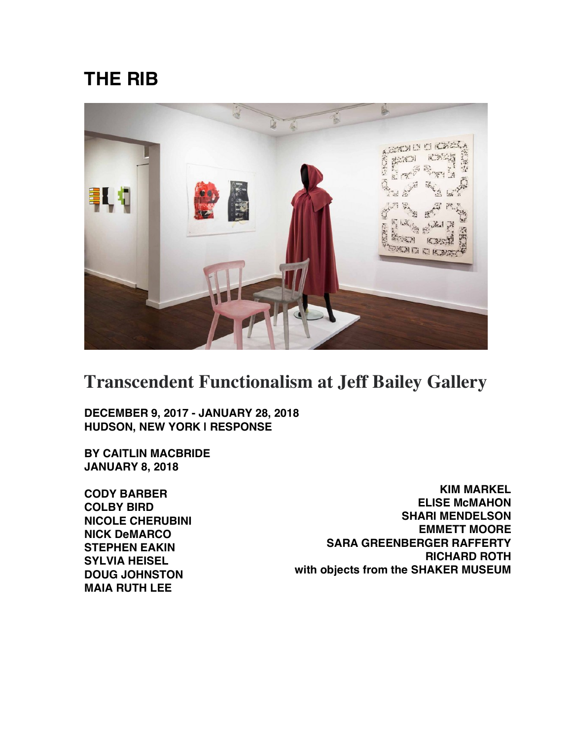## **THE RIB**



## **Transcendent Functionalism at Jeff Bailey Gallery**

**DECEMBER 9, 2017 - JANUARY 28, 2018 HUDSON, NEW YORK | RESPONSE**

**BY CAITLIN MACBRIDE JANUARY 8, 2018**

**CODY BARBER COLBY BIRD NICOLE CHERUBINI NICK DeMARCO STEPHEN EAKIN SYLVIA HEISEL DOUG JOHNSTON MAIA RUTH LEE**

**KIM MARKEL ELISE McMAHON SHARI MENDELSON EMMETT MOORE SARA GREENBERGER RAFFERTY RICHARD ROTH with objects from the SHAKER MUSEUM**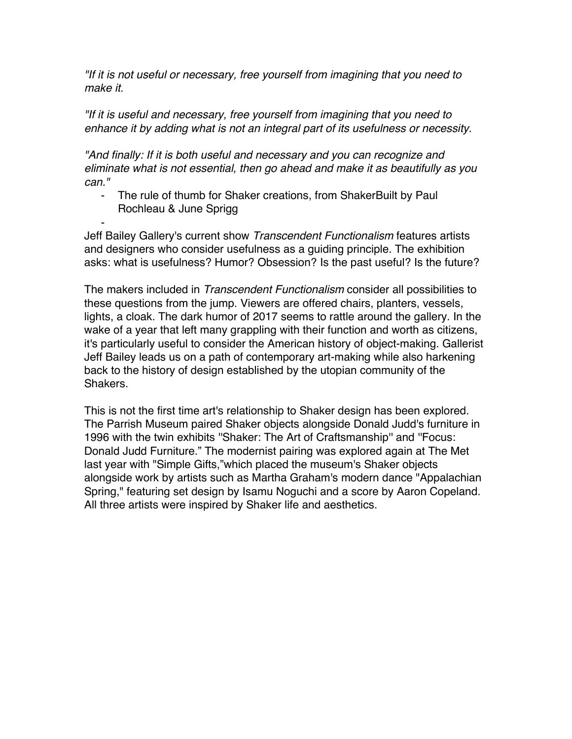*"If it is not useful or necessary, free yourself from imagining that you need to make it.*

*"If it is useful and necessary, free yourself from imagining that you need to enhance it by adding what is not an integral part of its usefulness or necessity.*

*"And finally: If it is both useful and necessary and you can recognize and eliminate what is not essential, then go ahead and make it as beautifully as you can."*

- The rule of thumb for Shaker creations, from ShakerBuilt by Paul Rochleau & June Sprigg

- Jeff Bailey Gallery's current show *Transcendent Functionalism* features artists and designers who consider usefulness as a guiding principle. The exhibition asks: what is usefulness? Humor? Obsession? Is the past useful? Is the future?

The makers included in *Transcendent Functionalism* consider all possibilities to these questions from the jump. Viewers are offered chairs, planters, vessels, lights, a cloak. The dark humor of 2017 seems to rattle around the gallery. In the wake of a year that left many grappling with their function and worth as citizens, it's particularly useful to consider the American history of object-making. Gallerist Jeff Bailey leads us on a path of contemporary art-making while also harkening back to the history of design established by the utopian community of the Shakers.

This is not the first time art's relationship to Shaker design has been explored. The Parrish Museum paired Shaker objects alongside Donald Judd's furniture in 1996 with the twin exhibits ''Shaker: The Art of Craftsmanship'' and ''Focus: Donald Judd Furniture." The modernist pairing was explored again at The Met last year with "Simple Gifts,"which placed the museum's Shaker objects alongside work by artists such as Martha Graham's modern dance "Appalachian Spring," featuring set design by Isamu Noguchi and a score by Aaron Copeland. All three artists were inspired by Shaker life and aesthetics.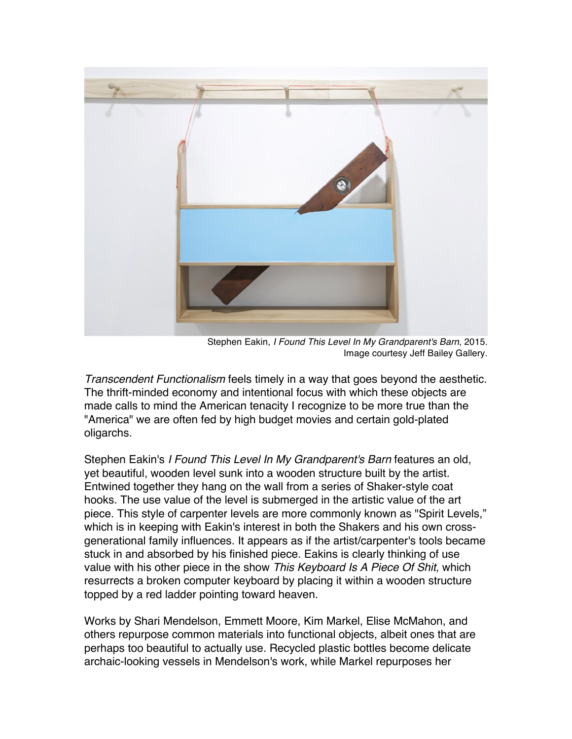

Stephen Eakin, *I Found This Level In My Grandparent's Barn*, 2015. Image courtesy Jeff Bailey Gallery.

*Transcendent Functionalism* feels timely in a way that goes beyond the aesthetic. The thrift-minded economy and intentional focus with which these objects are made calls to mind the American tenacity I recognize to be more true than the "America" we are often fed by high budget movies and certain gold-plated oligarchs.

Stephen Eakin's *I Found This Level In My Grandparent's Barn* features an old, yet beautiful, wooden level sunk into a wooden structure built by the artist. Entwined together they hang on the wall from a series of Shaker-style coat hooks. The use value of the level is submerged in the artistic value of the art piece. This style of carpenter levels are more commonly known as "Spirit Levels," which is in keeping with Eakin's interest in both the Shakers and his own crossgenerational family influences. It appears as if the artist/carpenter's tools became stuck in and absorbed by his finished piece. Eakins is clearly thinking of use value with his other piece in the show *This Keyboard Is A Piece Of Shit,* which resurrects a broken computer keyboard by placing it within a wooden structure topped by a red ladder pointing toward heaven.

Works by Shari Mendelson, Emmett Moore, Kim Markel, Elise McMahon, and others repurpose common materials into functional objects, albeit ones that are perhaps too beautiful to actually use. Recycled plastic bottles become delicate archaic-looking vessels in Mendelson's work, while Markel repurposes her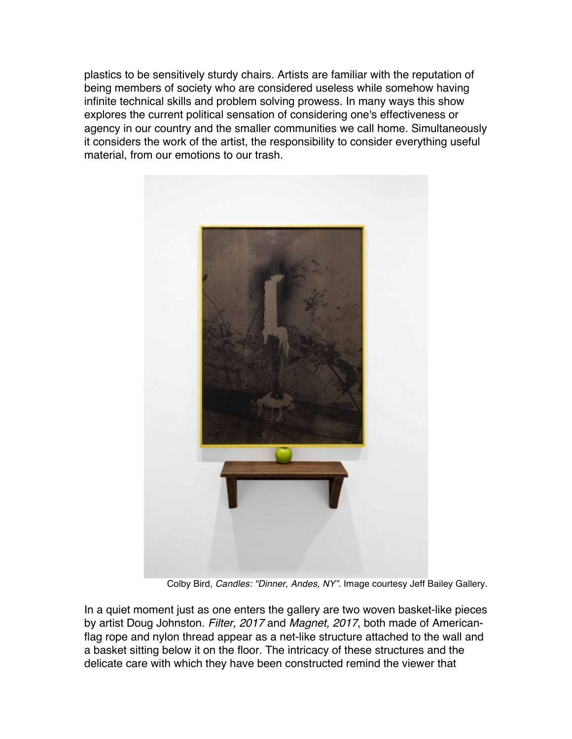plastics to be sensitively sturdy chairs. Artists are familiar with the reputation of being members of society who are considered useless while somehow having infinite technical skills and problem solving prowess. In many ways this show explores the current political sensation of considering one's effectiveness or agency in our country and the smaller communities we call home. Simultaneously it considers the work of the artist, the responsibility to consider everything useful material, from our emotions to our trash.



Colby Bird, *Candles: "Dinner, Andes, NY"*. Image courtesy Jeff Bailey Gallery.

In a quiet moment just as one enters the gallery are two woven basket-like pieces by artist Doug Johnston. *Filter, 2017* and *Magnet, 2017*, both made of Americanflag rope and nylon thread appear as a net-like structure attached to the wall and a basket sitting below it on the floor. The intricacy of these structures and the delicate care with which they have been constructed remind the viewer that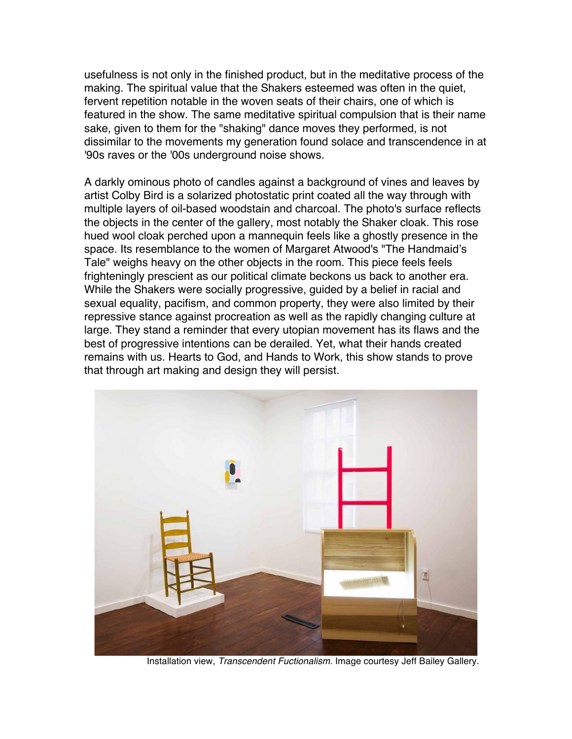usefulness is not only in the finished product, but in the meditative process of the making. The spiritual value that the Shakers esteemed was often in the quiet, fervent repetition notable in the woven seats of their chairs, one of which is featured in the show. The same meditative spiritual compulsion that is their name sake, given to them for the "shaking" dance moves they performed, is not dissimilar to the movements my generation found solace and transcendence in at '90s raves or the '00s underground noise shows.

A darkly ominous photo of candles against a background of vines and leaves by artist Colby Bird is a solarized photostatic print coated all the way through with multiple layers of oil-based woodstain and charcoal. The photo's surface reflects the objects in the center of the gallery, most notably the Shaker cloak. This rose hued wool cloak perched upon a mannequin feels like a ghostly presence in the space. Its resemblance to the women of Margaret Atwood's "The Handmaid's Tale" weighs heavy on the other objects in the room. This piece feels feels frighteningly prescient as our political climate beckons us back to another era. While the Shakers were socially progressive, guided by a belief in racial and sexual equality, pacifism, and common property, they were also limited by their repressive stance against procreation as well as the rapidly changing culture at large. They stand a reminder that every utopian movement has its flaws and the best of progressive intentions can be derailed. Yet, what their hands created remains with us. Hearts to God, and Hands to Work, this show stands to prove that through art making and design they will persist.



Installation view, *Transcendent Fuctionalism*. Image courtesy Jeff Bailey Gallery.